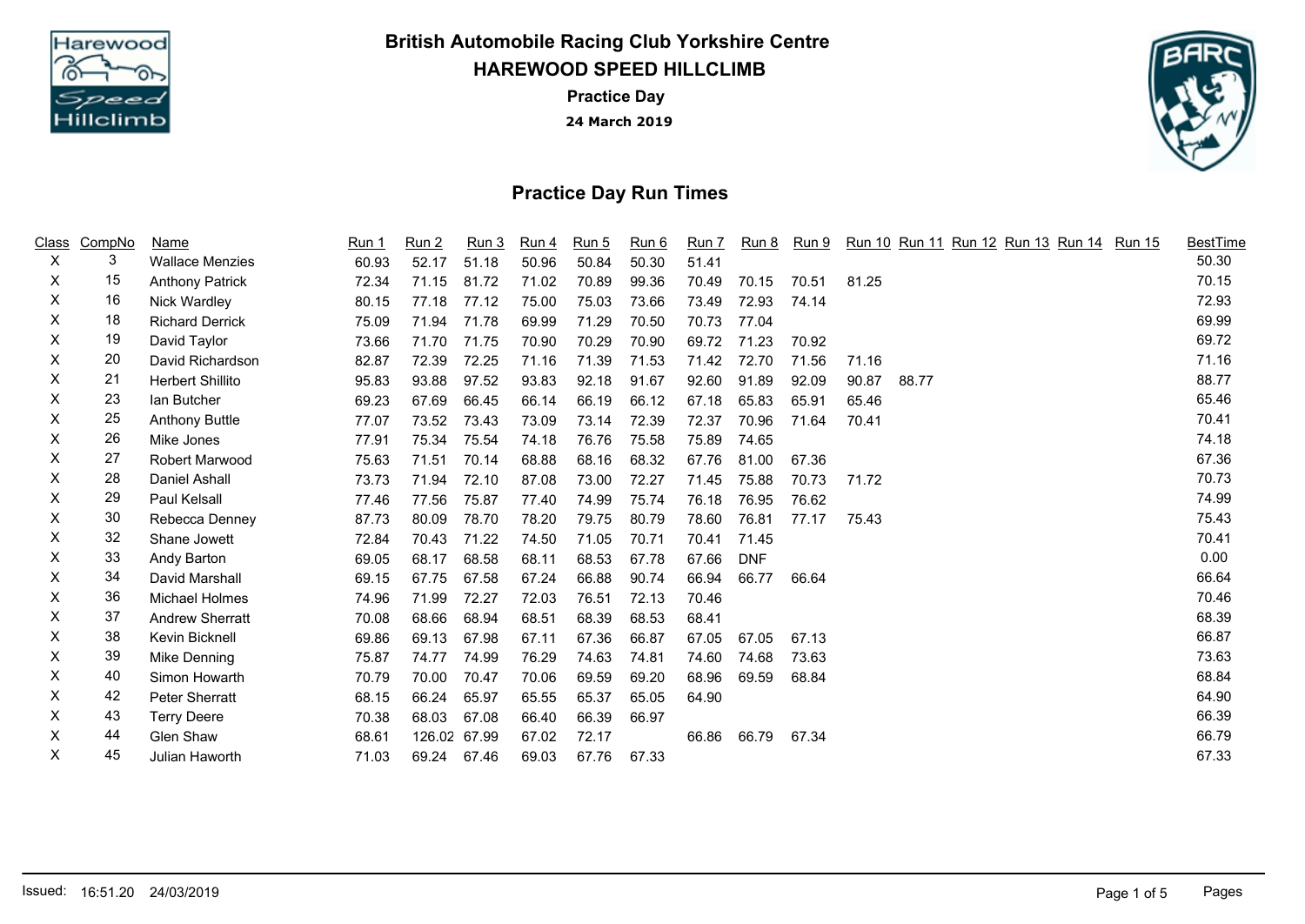

**HAREWOOD SPEED HILLCLIMB British Automobile Racing Club Yorkshire Centre**

> **24 March 2019 Practice Day**



## **Practice Day Run Times**

| <u>Class</u> | CompNo | Name                    | Run 1 | Run <sub>2</sub> | Run 3        | Run 4 | Run 5 | Run 6 | Run 7 |            |       |       | Run 8 Run 9 Run 10 Run 11 Run 12 Run 13 Run 14 Run 15 | <b>BestTime</b> |
|--------------|--------|-------------------------|-------|------------------|--------------|-------|-------|-------|-------|------------|-------|-------|-------------------------------------------------------|-----------------|
| $\mathsf{X}$ | 3      | <b>Wallace Menzies</b>  | 60.93 | 52.17            | 51.18        | 50.96 | 50.84 | 50.30 | 51.41 |            |       |       |                                                       | 50.30           |
| X            | 15     | <b>Anthony Patrick</b>  | 72.34 | 71.15            | 81.72        | 71.02 | 70.89 | 99.36 | 70.49 | 70.15      | 70.51 | 81.25 |                                                       | 70.15           |
| X            | 16     | Nick Wardley            | 80.15 | 77.18            | 77.12        | 75.00 | 75.03 | 73.66 | 73.49 | 72.93      | 74.14 |       |                                                       | 72.93           |
| X            | 18     | <b>Richard Derrick</b>  | 75.09 | 71.94            | 71.78        | 69.99 | 71.29 | 70.50 | 70.73 | 77.04      |       |       |                                                       | 69.99           |
| X.           | 19     | David Taylor            | 73.66 | 71.70            | 71.75        | 70.90 | 70.29 | 70.90 | 69.72 | 71.23      | 70.92 |       |                                                       | 69.72           |
| X.           | 20     | David Richardson        | 82.87 | 72.39            | 72.25        | 71.16 | 71.39 | 71.53 | 71.42 | 72.70      | 71.56 | 71.16 |                                                       | 71.16           |
| X.           | 21     | <b>Herbert Shillito</b> | 95.83 | 93.88            | 97.52        | 93.83 | 92.18 | 91.67 | 92.60 | 91.89      | 92.09 | 90.87 | 88.77                                                 | 88.77           |
| X            | 23     | lan Butcher             | 69.23 | 67.69            | 66.45        | 66.14 | 66.19 | 66.12 | 67.18 | 65.83      | 65.91 | 65.46 |                                                       | 65.46           |
| X            | 25     | <b>Anthony Buttle</b>   | 77.07 | 73.52            | 73.43        | 73.09 | 73.14 | 72.39 | 72.37 | 70.96      | 71.64 | 70.41 |                                                       | 70.41           |
| X            | 26     | Mike Jones              | 77.91 | 75.34            | 75.54        | 74.18 | 76.76 | 75.58 | 75.89 | 74.65      |       |       |                                                       | 74.18           |
| X            | 27     | Robert Marwood          | 75.63 | 71.51            | 70.14        | 68.88 | 68.16 | 68.32 | 67.76 | 81.00      | 67.36 |       |                                                       | 67.36           |
| X.           | 28     | Daniel Ashall           | 73.73 | 71.94            | 72.10        | 87.08 | 73.00 | 72.27 | 71.45 | 75.88      | 70.73 | 71.72 |                                                       | 70.73           |
| X            | 29     | Paul Kelsall            | 77.46 | 77.56            | 75.87        | 77.40 | 74.99 | 75.74 | 76.18 | 76.95      | 76.62 |       |                                                       | 74.99           |
| X            | 30     | Rebecca Denney          | 87.73 | 80.09            | 78.70        | 78.20 | 79.75 | 80.79 | 78.60 | 76.81      | 77.17 | 75.43 |                                                       | 75.43           |
| X            | 32     | Shane Jowett            | 72.84 | 70.43            | 71.22        | 74.50 | 71.05 | 70.71 | 70.41 | 71.45      |       |       |                                                       | 70.41           |
| X            | 33     | Andy Barton             | 69.05 | 68.17            | 68.58        | 68.11 | 68.53 | 67.78 | 67.66 | <b>DNF</b> |       |       |                                                       | 0.00            |
| X            | 34     | David Marshall          | 69.15 | 67.75            | 67.58        | 67.24 | 66.88 | 90.74 | 66.94 | 66.77      | 66.64 |       |                                                       | 66.64           |
| X            | 36     | Michael Holmes          | 74.96 | 71.99            | 72.27        | 72.03 | 76.51 | 72.13 | 70.46 |            |       |       |                                                       | 70.46           |
| X            | 37     | <b>Andrew Sherratt</b>  | 70.08 | 68.66            | 68.94        | 68.51 | 68.39 | 68.53 | 68.41 |            |       |       |                                                       | 68.39           |
| X            | 38     | Kevin Bicknell          | 69.86 | 69.13            | 67.98        | 67.11 | 67.36 | 66.87 | 67.05 | 67.05      | 67.13 |       |                                                       | 66.87           |
| X            | 39     | Mike Denning            | 75.87 | 74.77            | 74.99        | 76.29 | 74.63 | 74.81 | 74.60 | 74.68      | 73.63 |       |                                                       | 73.63           |
| X            | 40     | Simon Howarth           | 70.79 | 70.00            | 70.47        | 70.06 | 69.59 | 69.20 | 68.96 | 69.59      | 68.84 |       |                                                       | 68.84           |
| X            | 42     | Peter Sherratt          | 68.15 | 66.24            | 65.97        | 65.55 | 65.37 | 65.05 | 64.90 |            |       |       |                                                       | 64.90           |
| X            | 43     | <b>Terry Deere</b>      | 70.38 | 68.03            | 67.08        | 66.40 | 66.39 | 66.97 |       |            |       |       |                                                       | 66.39           |
| X            | 44     | Glen Shaw               | 68.61 |                  | 126.02 67.99 | 67.02 | 72.17 |       | 66.86 | 66.79      | 67.34 |       |                                                       | 66.79           |
| X            | 45     | Julian Haworth          | 71.03 | 69.24            | 67.46        | 69.03 | 67.76 | 67.33 |       |            |       |       |                                                       | 67.33           |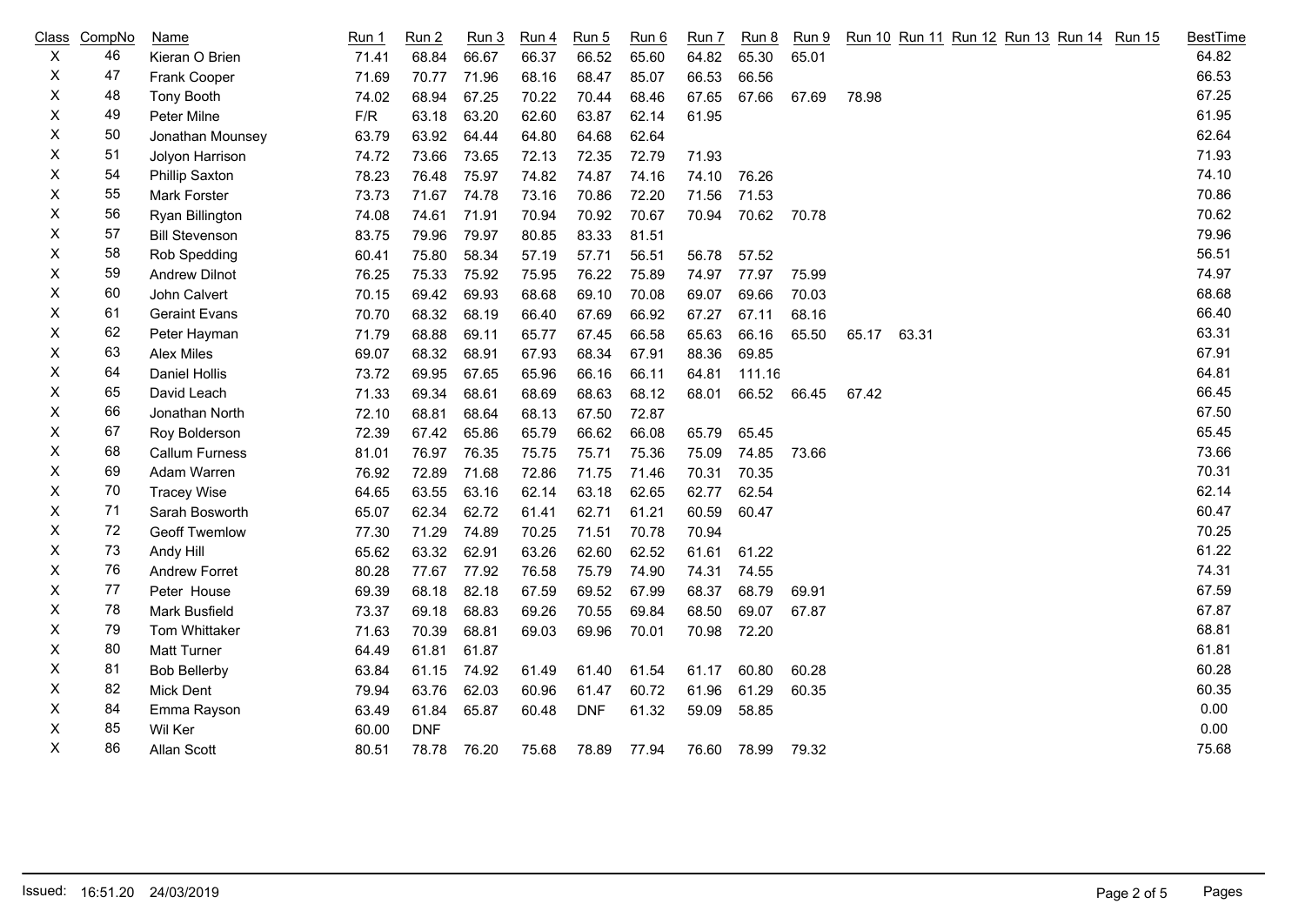|    | Class CompNo | Name                  | <b>Run 1</b> | Run <sub>2</sub> | Run 3 | <b>Run 4</b> | Run 5      | Run 6 | Run 7       | <b>Run 8</b>      | <u>Run 9</u> | Run 10 Run 11 Run 12 Run 13 Run 14 Run 15 | <b>BestTime</b> |
|----|--------------|-----------------------|--------------|------------------|-------|--------------|------------|-------|-------------|-------------------|--------------|-------------------------------------------|-----------------|
| X  | 46           | Kieran O Brien        | 71.41        | 68.84            | 66.67 | 66.37        | 66.52      | 65.60 | 64.82       | 65.30             | 65.01        |                                           | 64.82           |
| X  | 47           | Frank Cooper          | 71.69        | 70.77            | 71.96 | 68.16        | 68.47      | 85.07 | 66.53       | 66.56             |              |                                           | 66.53           |
| X  | 48           | Tony Booth            | 74.02        | 68.94            | 67.25 | 70.22        | 70.44      | 68.46 | 67.65       | 67.66             | 67.69        | 78.98                                     | 67.25           |
| X  | 49           | Peter Milne           | F/R          | 63.18            | 63.20 | 62.60        | 63.87      | 62.14 | 61.95       |                   |              |                                           | 61.95           |
| X  | 50           | Jonathan Mounsey      | 63.79        | 63.92            | 64.44 | 64.80        | 64.68      | 62.64 |             |                   |              |                                           | 62.64           |
| Χ  | 51           | Jolyon Harrison       | 74.72        | 73.66            | 73.65 | 72.13        | 72.35      | 72.79 | 71.93       |                   |              |                                           | 71.93           |
| X  | 54           | Phillip Saxton        | 78.23        | 76.48            | 75.97 | 74.82        | 74.87      | 74.16 | 74.10       | 76.26             |              |                                           | 74.10           |
| Х  | 55           | Mark Forster          | 73.73        | 71.67 74.78      |       | 73.16        | 70.86      | 72.20 | 71.56       | 71.53             |              |                                           | 70.86           |
| X  | 56           | Ryan Billington       | 74.08        | 74.61 71.91      |       | 70.94        | 70.92      | 70.67 | 70.94 70.62 |                   | 70.78        |                                           | 70.62           |
| X  | 57           | <b>Bill Stevenson</b> | 83.75        | 79.96            | 79.97 | 80.85        | 83.33      | 81.51 |             |                   |              |                                           | 79.96           |
| Х  | 58           | Rob Spedding          | 60.41        | 75.80            | 58.34 | 57.19        | 57.71      | 56.51 | 56.78       | 57.52             |              |                                           | 56.51           |
| X  | 59           | <b>Andrew Dilnot</b>  | 76.25        | 75.33            | 75.92 | 75.95        | 76.22      | 75.89 | 74.97       | 77.97             | 75.99        |                                           | 74.97           |
| Χ  | 60           | John Calvert          | 70.15        | 69.42            | 69.93 | 68.68        | 69.10      | 70.08 | 69.07       | 69.66             | 70.03        |                                           | 68.68           |
| X  | 61           | <b>Geraint Evans</b>  | 70.70        | 68.32            | 68.19 | 66.40        | 67.69      | 66.92 | 67.27       | 67.11             | 68.16        |                                           | 66.40           |
| X  | 62           | Peter Hayman          | 71.79        | 68.88            | 69.11 | 65.77        | 67.45      | 66.58 | 65.63       | 66.16             | 65.50        | 65.17 63.31                               | 63.31           |
| X  | 63           | Alex Miles            | 69.07        | 68.32            | 68.91 | 67.93        | 68.34      | 67.91 | 88.36       | 69.85             |              |                                           | 67.91           |
| X  | 64           | Daniel Hollis         | 73.72        | 69.95            | 67.65 | 65.96        | 66.16      | 66.11 | 64.81       | 111.16            |              |                                           | 64.81           |
| Χ  | 65           | David Leach           | 71.33        | 69.34            | 68.61 | 68.69        | 68.63      | 68.12 | 68.01       | 66.52 66.45       |              | 67.42                                     | 66.45           |
| X  | 66           | Jonathan North        | 72.10        | 68.81            | 68.64 | 68.13        | 67.50      | 72.87 |             |                   |              |                                           | 67.50           |
| X. | 67           | Roy Bolderson         | 72.39        | 67.42            | 65.86 | 65.79        | 66.62      | 66.08 | 65.79       | 65.45             |              |                                           | 65.45           |
| X  | 68           | Callum Furness        | 81.01        | 76.97            | 76.35 | 75.75        | 75.71      | 75.36 | 75.09       | 74.85             | 73.66        |                                           | 73.66           |
| X  | 69           | Adam Warren           | 76.92        | 72.89            | 71.68 | 72.86        | 71.75      | 71.46 | 70.31       | 70.35             |              |                                           | 70.31           |
| X  | 70           | <b>Tracey Wise</b>    | 64.65        | 63.55            | 63.16 | 62.14        | 63.18      | 62.65 | 62.77       | 62.54             |              |                                           | 62.14           |
| X  | 71           | Sarah Bosworth        | 65.07        | 62.34            | 62.72 | 61.41        | 62.71      | 61.21 | 60.59       | 60.47             |              |                                           | 60.47           |
| X  | 72           | <b>Geoff Twemlow</b>  | 77.30        | 71.29            | 74.89 | 70.25        | 71.51      | 70.78 | 70.94       |                   |              |                                           | 70.25           |
| X  | 73           | Andy Hill             | 65.62        | 63.32            | 62.91 | 63.26        | 62.60      | 62.52 | 61.61       | 61.22             |              |                                           | 61.22           |
| X  | 76           | <b>Andrew Forret</b>  | 80.28        | 77.67            | 77.92 | 76.58        | 75.79      | 74.90 | 74.31       | 74.55             |              |                                           | 74.31           |
| X  | 77           | Peter House           | 69.39        | 68.18            | 82.18 | 67.59        | 69.52      | 67.99 | 68.37       | 68.79             | 69.91        |                                           | 67.59           |
| X  | 78           | Mark Busfield         | 73.37        | 69.18            | 68.83 | 69.26        | 70.55      | 69.84 | 68.50       | 69.07             | 67.87        |                                           | 67.87           |
| Χ  | 79           | Tom Whittaker         | 71.63        | 70.39            | 68.81 | 69.03        | 69.96      | 70.01 | 70.98       | 72.20             |              |                                           | 68.81           |
| X  | 80           | Matt Turner           | 64.49        | 61.81            | 61.87 |              |            |       |             |                   |              |                                           | 61.81           |
| Χ  | 81           | <b>Bob Bellerby</b>   | 63.84        | 61.15            | 74.92 | 61.49        | 61.40      | 61.54 | 61.17       | 60.80             | 60.28        |                                           | 60.28           |
| Χ  | 82           | Mick Dent             | 79.94        | 63.76            | 62.03 | 60.96        | 61.47      | 60.72 | 61.96       | 61.29             | 60.35        |                                           | 60.35           |
| X  | 84           | Emma Rayson           | 63.49        | 61.84            | 65.87 | 60.48        | <b>DNF</b> | 61.32 | 59.09       | 58.85             |              |                                           | 0.00            |
| X  | 85           | Wil Ker               | 60.00        | <b>DNF</b>       |       |              |            |       |             |                   |              |                                           | 0.00            |
| Χ  | 86           | Allan Scott           | 80.51        | 78.78            | 76.20 | 75.68        | 78.89      | 77.94 |             | 76.60 78.99 79.32 |              |                                           | 75.68           |
|    |              |                       |              |                  |       |              |            |       |             |                   |              |                                           |                 |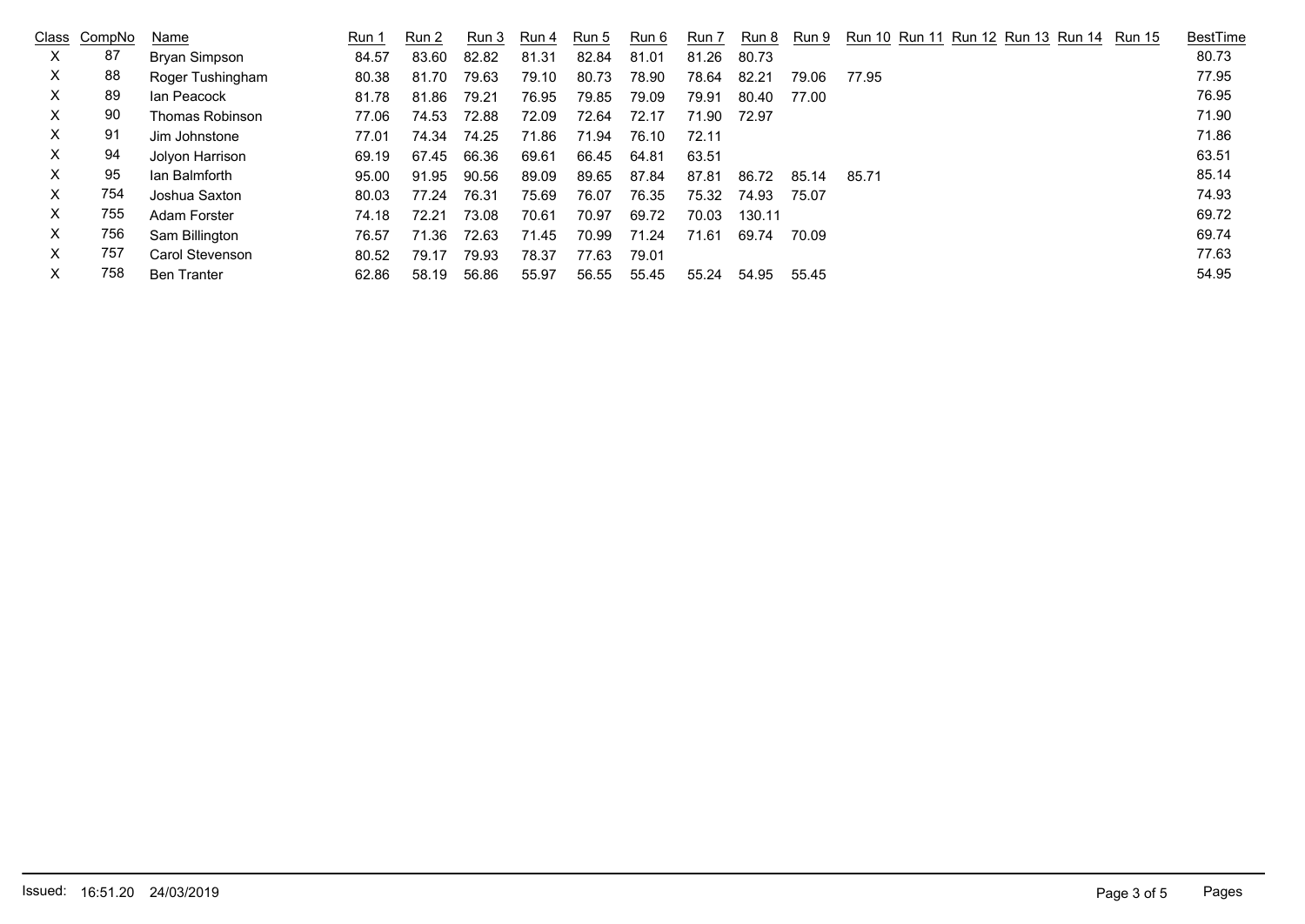|    | Class CompNo | Name               | Run 1 | Run 2 | Run 3 | Run 4 | Run 5 | Run 6 | Run 7 | Run 8  | Run 9 | Run 10 Run 11 Run 12 Run 13 Run 14 Run 15 | <b>BestTime</b> |
|----|--------------|--------------------|-------|-------|-------|-------|-------|-------|-------|--------|-------|-------------------------------------------|-----------------|
| X. | 87           | Bryan Simpson      | 84.57 | 83.60 | 82.82 | 81.31 | 82.84 | 81.01 | 81.26 | 80.73  |       |                                           | 80.73           |
| X. | 88           | Roger Tushingham   | 80.38 | 81.70 | 79.63 | 79.10 | 80.73 | 78.90 | 78.64 | 82.21  | 79.06 | 77.95                                     | 77.95           |
| X. | 89           | lan Peacock        | 81.78 | 81.86 | 79.21 | 76.95 | 79.85 | 79.09 | 79.91 | 80.40  | 77.00 |                                           | 76.95           |
| X. | 90           | Thomas Robinson    | 77.06 | 74.53 | 72.88 | 72.09 | 72.64 | 72.17 | 71.90 | 72.97  |       |                                           | 71.90           |
| X. | 91           | Jim Johnstone      | 77.01 | 74.34 | 74.25 | 71.86 | 71.94 | 76.10 | 72.11 |        |       |                                           | 71.86           |
| X  | 94           | Jolyon Harrison    | 69.19 | 67.45 | 66.36 | 69.61 | 66.45 | 64.81 | 63.51 |        |       |                                           | 63.51           |
| X. | 95           | lan Balmforth      | 95.00 | 91.95 | 90.56 | 89.09 | 89.65 | 87.84 | 87.81 | 86.72  | 85.14 | 85.71                                     | 85.14           |
| X. | 754          | Joshua Saxton      | 80.03 | 77.24 | 76.31 | 75.69 | 76.07 | 76.35 | 75.32 | 74.93  | 75.07 |                                           | 74.93           |
| X. | 755          | Adam Forster       | 74.18 | 72.21 | 73.08 | 70.61 | 70.97 | 69.72 | 70.03 | 130.11 |       |                                           | 69.72           |
| X. | 756          | Sam Billington     | 76.57 | 71.36 | 72.63 | 71.45 | 70.99 | 71.24 | 71.61 | 69.74  | 70.09 |                                           | 69.74           |
| X. | 757          | Carol Stevenson    | 80.52 | 79.17 | 79.93 | 78.37 | 77.63 | 79.01 |       |        |       |                                           | 77.63           |
| X. | 758          | <b>Ben Tranter</b> | 62.86 | 58.19 | 56.86 | 55.97 | 56.55 | 55.45 | 55.24 | 54.95  | 55.45 |                                           | 54.95           |
|    |              |                    |       |       |       |       |       |       |       |        |       |                                           |                 |